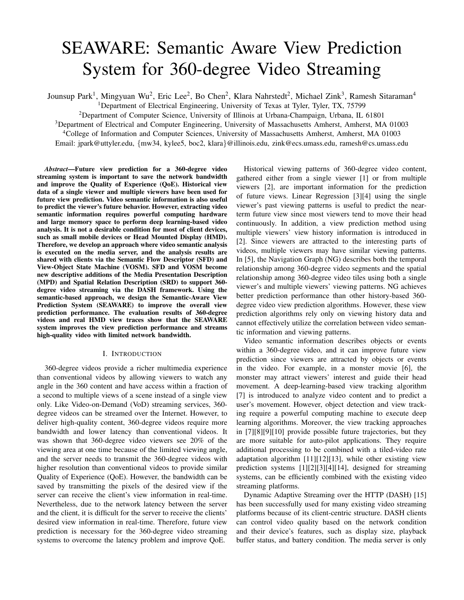# SEAWARE: Semantic Aware View Prediction System for 360-degree Video Streaming

Jounsup Park<sup>1</sup>, Mingyuan Wu<sup>2</sup>, Eric Lee<sup>2</sup>, Bo Chen<sup>2</sup>, Klara Nahrstedt<sup>2</sup>, Michael Zink<sup>3</sup>, Ramesh Sitaraman<sup>4</sup>

<sup>1</sup>Department of Electrical Engineering, University of Texas at Tyler, Tyler, TX, 75799

<sup>2</sup>Department of Computer Science, University of Illinois at Urbana-Champaign, Urbana, IL 61801

<sup>3</sup>Department of Electrical and Computer Engineering, University of Massachusetts Amherst, Amherst, MA 01003

<sup>4</sup>College of Information and Computer Sciences, University of Massachusetts Amherst, Amherst, MA 01003

Email: jpark@uttyler.edu, {mw34, kylee5, boc2, klara}@illinois.edu, zink@ecs.umass.edu, ramesh@cs.umass.edu

*Abstract*—Future view prediction for a 360-degree video streaming system is important to save the network bandwidth and improve the Quality of Experience (QoE). Historical view data of a single viewer and multiple viewers have been used for future view prediction. Video semantic information is also useful to predict the viewer's future behavior. However, extracting video semantic information requires powerful computing hardware and large memory space to perform deep learning-based video analysis. It is not a desirable condition for most of client devices, such as small mobile devices or Head Mounted Display (HMD). Therefore, we develop an approach where video semantic analysis is executed on the media server, and the analysis results are shared with clients via the Semantic Flow Descriptor (SFD) and View-Object State Machine (VOSM). SFD and VOSM become new descriptive additions of the Media Presentation Description (MPD) and Spatial Relation Description (SRD) to support 360 degree video streaming via the DASH framework. Using the semantic-based approach, we design the Semantic-Aware View Prediction System (SEAWARE) to improve the overall view prediction performance. The evaluation results of 360-degree videos and real HMD view traces show that the SEAWARE system improves the view prediction performance and streams high-quality video with limited network bandwidth.

## I. INTRODUCTION

360-degree videos provide a richer multimedia experience than conventional videos by allowing viewers to watch any angle in the 360 content and have access within a fraction of a second to multiple views of a scene instead of a single view only. Like Video-on-Demand (VoD) streaming services, 360 degree videos can be streamed over the Internet. However, to deliver high-quality content, 360-degree videos require more bandwidth and lower latency than conventional videos. It was shown that 360-degree video viewers see 20% of the viewing area at one time because of the limited viewing angle, and the server needs to transmit the 360-degree videos with higher resolution than conventional videos to provide similar Quality of Experience (QoE). However, the bandwidth can be saved by transmitting the pixels of the desired view if the server can receive the client's view information in real-time. Nevertheless, due to the network latency between the server and the client, it is difficult for the server to receive the clients' desired view information in real-time. Therefore, future view prediction is necessary for the 360-degree video streaming systems to overcome the latency problem and improve QoE.

Historical viewing patterns of 360-degree video content, gathered either from a single viewer [1] or from multiple viewers [2], are important information for the prediction of future views. Linear Regression [3][4] using the single viewer's past viewing patterns is useful to predict the nearterm future view since most viewers tend to move their head continuously. In addition, a view prediction method using multiple viewers' view history information is introduced in [2]. Since viewers are attracted to the interesting parts of videos, multiple viewers may have similar viewing patterns. In [5], the Navigation Graph (NG) describes both the temporal relationship among 360-degree video segments and the spatial relationship among 360-degree video tiles using both a single viewer's and multiple viewers' viewing patterns. NG achieves better prediction performance than other history-based 360 degree video view prediction algorithms. However, these view prediction algorithms rely only on viewing history data and cannot effectively utilize the correlation between video semantic information and viewing patterns.

Video semantic information describes objects or events within a 360-degree video, and it can improve future view prediction since viewers are attracted by objects or events in the video. For example, in a monster movie [6], the monster may attract viewers' interest and guide their head movement. A deep-learning-based view tracking algorithm [7] is introduced to analyze video content and to predict a user's movement. However, object detection and view tracking require a powerful computing machine to execute deep learning algorithms. Moreover, the view tracking approaches in [7][8][9][10] provide possible future trajectories, but they are more suitable for auto-pilot applications. They require additional processing to be combined with a tiled-video rate adaptation algorithm [11][12][13], while other existing view prediction systems [1][2][3][4][14], designed for streaming systems, can be efficiently combined with the existing video streaming platforms.

Dynamic Adaptive Streaming over the HTTP (DASH) [15] has been successfully used for many existing video streaming platforms because of its client-centric structure. DASH clients can control video quality based on the network condition and their device's features, such as display size, playback buffer status, and battery condition. The media server is only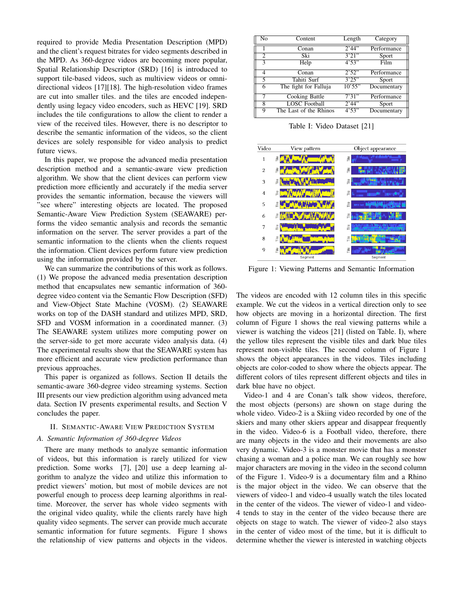required to provide Media Presentation Description (MPD) and the client's request bitrates for video segments described in the MPD. As 360-degree videos are becoming more popular, Spatial Relationship Descriptor (SRD) [16] is introduced to support tile-based videos, such as multiview videos or omnidirectional videos [17][18]. The high-resolution video frames are cut into smaller tiles. and the tiles are encoded independently using legacy video encoders, such as HEVC [19]. SRD includes the tile configurations to allow the client to render a view of the received tiles. However, there is no descriptor to describe the semantic information of the videos, so the client devices are solely responsible for video analysis to predict future views.

In this paper, we propose the advanced media presentation description method and a semantic-aware view prediction algorithm. We show that the client devices can perform view prediction more efficiently and accurately if the media server provides the semantic information, because the viewers will "see where" interesting objects are located. The proposed Semantic-Aware View Prediction System (SEAWARE) performs the video semantic analysis and records the semantic information on the server. The server provides a part of the semantic information to the clients when the clients request the information. Client devices perform future view prediction using the information provided by the server.

We can summarize the contributions of this work as follows. (1) We propose the advanced media presentation description method that encapsulates new semantic information of 360 degree video content via the Semantic Flow Description (SFD) and View-Object State Machine (VOSM). (2) SEAWARE works on top of the DASH standard and utilizes MPD, SRD, SFD and VOSM information in a coordinated manner. (3) The SEAWARE system utilizes more computing power on the server-side to get more accurate video analysis data. (4) The experimental results show that the SEAWARE system has more efficient and accurate view prediction performance than previous approaches.

This paper is organized as follows. Section II details the semantic-aware 360-degree video streaming systems. Section III presents our view prediction algorithm using advanced meta data. Section IV presents experimental results, and Section V concludes the paper.

#### II. SEMANTIC-AWARE VIEW PREDICTION SYSTEM

# *A. Semantic Information of 360-degree Videos*

There are many methods to analyze semantic information of videos, but this information is rarely utilized for view prediction. Some works [7], [20] use a deep learning algorithm to analyze the video and utilize this information to predict viewers' motion, but most of mobile devices are not powerful enough to process deep learning algorithms in realtime. Moreover, the server has whole video segments with the original video quality, while the clients rarely have high quality video segments. The server can provide much accurate semantic information for future segments. Figure 1 shows the relationship of view patterns and objects in the videos.

| No             | Content                | Length | Category    |
|----------------|------------------------|--------|-------------|
|                | Conan                  | 2'44'' | Performance |
| $\overline{c}$ | Ski                    | 3'21'' | Sport       |
| 3              | Help                   | 4'53'' | Film        |
| 4              | Conan                  | 2'52"  | Performance |
| 5              | Tahiti Surf            | 3'25"  | Sport       |
| 6              | The fight for Falluja  | 10'55" | Documentary |
| 7              | Cooking Battle         | 7'31'' | Performance |
| 8              | <b>LOSC</b> Football   | 2'44'' | Sport       |
| 9              | The Last of the Rhinos | 4'53'' | Documentary |

Table I: Video Dataset [21]

| Video          | View pattern | Object appearance                            |  |
|----------------|--------------|----------------------------------------------|--|
| 1              | Ξ            | ιÊ                                           |  |
| $\overline{c}$ | Ë            | $\frac{e}{1}$                                |  |
| 3              | ₽            | $\frac{e}{\Box}$                             |  |
| 4              | ιÊ           | Πe<br>٠                                      |  |
| 5              | Ξ            | $\frac{e}{1}$<br><b>THE MAIL</b>             |  |
| 6              | ₽            | $\frac{e}{\Box}$                             |  |
| 7              | Ξ            | Ě                                            |  |
| 8              | Ξ            | $\stackrel{\scriptscriptstyle\rm e}{\equiv}$ |  |
| 9              | Ξ            | Ξ                                            |  |
|                | Segment      | Segment                                      |  |

Figure 1: Viewing Patterns and Semantic Information

The videos are encoded with 12 column tiles in this specific example. We cut the videos in a vertical direction only to see how objects are moving in a horizontal direction. The first column of Figure 1 shows the real viewing patterns while a viewer is watching the videos [21] (listed on Table. I), where the yellow tiles represent the visible tiles and dark blue tiles represent non-visible tiles. The second column of Figure 1 shows the object appearances in the videos. Tiles including objects are color-coded to show where the objects appear. The different colors of tiles represent different objects and tiles in dark blue have no object.

Video-1 and 4 are Conan's talk show videos, therefore, the most objects (persons) are shown on stage during the whole video. Video-2 is a Skiing video recorded by one of the skiers and many other skiers appear and disappear frequently in the video. Video-6 is a Football video, therefore, there are many objects in the video and their movements are also very dynamic. Video-3 is a monster movie that has a monster chasing a woman and a police man. We can roughly see how major characters are moving in the video in the second column of the Figure 1. Video-9 is a documentary film and a Rhino is the major object in the video. We can observe that the viewers of video-1 and video-4 usually watch the tiles located in the center of the videos. The viewer of video-1 and video-4 tends to stay in the center of the video because there are objects on stage to watch. The viewer of video-2 also stays in the center of video most of the time, but it is difficult to determine whether the viewer is interested in watching objects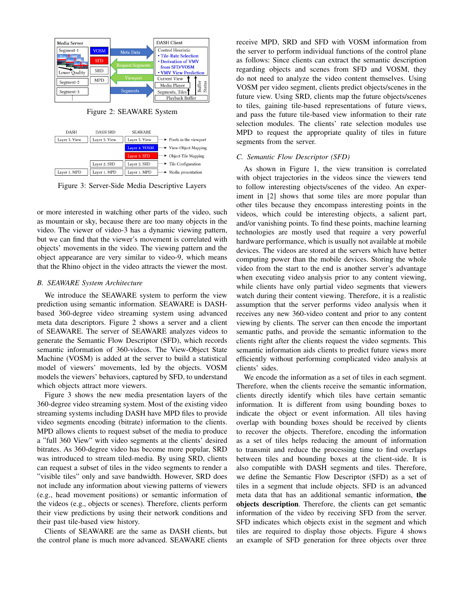

Figure 2: SEAWARE System



Figure 3: Server-Side Media Descriptive Layers

or more interested in watching other parts of the video, such as mountain or sky, because there are too many objects in the video. The viewer of video-3 has a dynamic viewing pattern, but we can find that the viewer's movement is correlated with objects' movements in the video. The viewing pattern and the object appearance are very similar to video-9, which means that the Rhino object in the video attracts the viewer the most.

#### *B. SEAWARE System Architecture*

We introduce the SEAWARE system to perform the view prediction using semantic information. SEAWARE is DASHbased 360-degree video streaming system using advanced meta data descriptors. Figure 2 shows a server and a client of SEAWARE. The server of SEAWARE analyzes videos to generate the Semantic Flow Descriptor (SFD), which records semantic information of 360-videos. The View-Object State Machine (VOSM) is added at the server to build a statistical model of viewers' movements, led by the objects. VOSM models the viewers' behaviors, captured by SFD, to understand which objects attract more viewers.

Figure 3 shows the new media presentation layers of the 360-degree video streaming system. Most of the existing video streaming systems including DASH have MPD files to provide video segments encoding (bitrate) information to the clients. MPD allows clients to request subset of the media to produce a "full 360 View" with video segments at the clients' desired bitrates. As 360-degree video has become more popular, SRD was introduced to stream tiled-media. By using SRD, clients can request a subset of tiles in the video segments to render a "visible tiles" only and save bandwidth. However, SRD does not include any information about viewing patterns of viewers (e.g., head movement positions) or semantic information of the videos (e.g., objects or scenes). Therefore, clients perform their view predictions by using their network conditions and their past tile-based view history.

Clients of SEAWARE are the same as DASH clients, but the control plane is much more advanced. SEAWARE clients receive MPD, SRD and SFD with VOSM information from the server to perform individual functions of the control plane as follows: Since clients can extract the semantic description regarding objects and scenes from SFD and VOSM, they do not need to analyze the video content themselves. Using VOSM per video segment, clients predict objects/scenes in the future view. Using SRD, clients map the future objects/scenes to tiles, gaining tile-based representations of future views, and pass the future tile-based view information to their rate selection modules. The clients' rate selection modules use MPD to request the appropriate quality of tiles in future segments from the server.

#### *C. Semantic Flow Descriptor (SFD)*

As shown in Figure 1, the view transition is correlated with object trajectories in the videos since the viewers tend to follow interesting objects/scenes of the video. An experiment in [2] shows that some tiles are more popular than other tiles because they encompass interesting points in the videos, which could be interesting objects, a salient part, and/or vanishing points. To find these points, machine learning technologies are mostly used that require a very powerful hardware performance, which is usually not available at mobile devices. The videos are stored at the servers which have better computing power than the mobile devices. Storing the whole video from the start to the end is another server's advantage when executing video analysis prior to any content viewing, while clients have only partial video segments that viewers watch during their content viewing. Therefore, it is a realistic assumption that the server performs video analysis when it receives any new 360-video content and prior to any content viewing by clients. The server can then encode the important semantic paths, and provide the semantic information to the clients right after the clients request the video segments. This semantic information aids clients to predict future views more efficiently without performing complicated video analysis at clients' sides.

We encode the information as a set of tiles in each segment. Therefore, when the clients receive the semantic information, clients directly identify which tiles have certain semantic information. It is different from using bounding boxes to indicate the object or event information. All tiles having overlap with bounding boxes should be received by clients to recover the objects. Therefore, encoding the information as a set of tiles helps reducing the amount of information to transmit and reduce the processing time to find overlaps between tiles and bounding boxes at the client-side. It is also compatible with DASH segments and tiles. Therefore, we define the Semantic Flow Descriptor (SFD) as a set of tiles in a segment that include objects. SFD is an advanced meta data that has an additional semantic information, the objects description. Therefore, the clients can get semantic information of the video by receiving SFD from the server. SFD indicates which objects exist in the segment and which tiles are required to display those objects. Figure 4 shows an example of SFD generation for three objects over three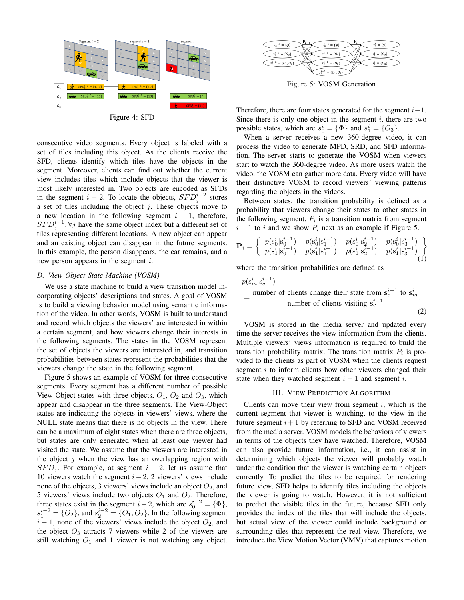

Figure 4: SFD

consecutive video segments. Every object is labeled with a set of tiles including this object. As the clients receive the SFD, clients identify which tiles have the objects in the segment. Moreover, clients can find out whether the current view includes tiles which include objects that the viewer is most likely interested in. Two objects are encoded as SFDs in the segment  $i - 2$ . To locate the objects,  $SFD_j^{i-2}$  stores a set of tiles including the object  $j$ . These objects move to a new location in the following segment  $i - 1$ , therefore,  $SFD_j^{i-1}, \forall j$  have the same object index but a different set of tiles representing different locations. A new object can appear and an existing object can disappear in the future segments. In this example, the person disappears, the car remains, and a new person appears in the segment i.

#### *D. View-Object State Machine (VOSM)*

We use a state machine to build a view transition model incorporating objects' descriptions and states. A goal of VOSM is to build a viewing behavior model using semantic information of the video. In other words, VOSM is built to understand and record which objects the viewers' are interested in within a certain segment, and how viewers change their interests in the following segments. The states in the VOSM represent the set of objects the viewers are interested in, and transition probabilities between states represent the probabilities that the viewers change the state in the following segment.

Figure 5 shows an example of VOSM for three consecutive segments. Every segment has a different number of possible View-Object states with three objects,  $O_1$ ,  $O_2$  and  $O_3$ , which appear and disappear in the three segments. The View-Object states are indicating the objects in viewers' views, where the NULL state means that there is no objects in the view. There can be a maximum of eight states when there are three objects, but states are only generated when at least one viewer had visited the state. We assume that the viewers are interested in the object  $j$  when the view has an overlapping region with  $SFD<sub>i</sub>$ . For example, at segment  $i - 2$ , let us assume that 10 viewers watch the segment  $i - 2$ . 2 viewers' views include none of the objects, 3 viewers' views include an object  $O_2$ , and 5 viewers' views include two objects  $O_1$  and  $O_2$ . Therefore, three states exist in the segment  $i-2$ , which are  $s_0^{i-2} = {\Phi}$ ,  $s_1^{i-2} = \{O_2\}$ , and  $s_2^{i-2} = \{O_1, O_2\}$ . In the following segment  $i - 1$ , none of the viewers' views include the object  $O_2$ , and the object  $O_3$  attracts 7 viewers while 2 of the viewers are still watching  $O_1$  and 1 viewer is not watching any object.



Figure 5: VOSM Generation

Therefore, there are four states generated for the segment  $i-1$ . Since there is only one object in the segment  $i$ , there are two possible states, which are  $s_0^i = {\Phi}$  and  $s_1^i = {O_3}$ .

When a server receives a new 360-degree video, it can process the video to generate MPD, SRD, and SFD information. The server starts to generate the VOSM when viewers start to watch the 360-degree video. As more users watch the video, the VOSM can gather more data. Every video will have their distinctive VOSM to record viewers' viewing patterns regarding the objects in the videos.

Between states, the transition probability is defined as a probability that viewers change their states to other states in the following segment.  $P_i$  is a transition matrix from segment  $i - 1$  to i and we show  $P_i$  next as an example if Figure 5.

$$
\mathbf{P}_{i} = \begin{Bmatrix} p(\mathbf{s}_{0}^{i}|\mathbf{s}_{0}^{i-1}) & p(\mathbf{s}_{0}^{i}|\mathbf{s}_{1}^{i-1}) & p(\mathbf{s}_{0}^{i}|\mathbf{s}_{2}^{i-1}) & p(\mathbf{s}_{0}^{i}|\mathbf{s}_{3}^{i-1})\\ p(\mathbf{s}_{1}^{i}|\mathbf{s}_{0}^{i-1}) & p(\mathbf{s}_{1}^{i}|\mathbf{s}_{1}^{i-1}) & p(\mathbf{s}_{1}^{i}|\mathbf{s}_{2}^{i-1}) & p(\mathbf{s}_{1}^{i}|\mathbf{s}_{3}^{i-1}) \end{Bmatrix} \tag{1}
$$

where the transition probabilities are defined as

$$
p(s_m^i | s_c^{i-1})
$$
  
= 
$$
\frac{\text{number of clients change their state from } s_c^{i-1} \text{ to } s_m^i}{\text{number of clients visiting } s_c^{i-1}}
$$
 (2)

VOSM is stored in the media server and updated every time the server receives the view information from the clients. Multiple viewers' views information is required to build the transition probability matrix. The transition matrix  $P_i$  is provided to the clients as part of VOSM when the clients request segment  $i$  to inform clients how other viewers changed their state when they watched segment  $i - 1$  and segment i.

#### III. VIEW PREDICTION ALGORITHM

Clients can move their view from segment  $i$ , which is the current segment that viewer is watching, to the view in the future segment  $i+1$  by referring to SFD and VOSM received from the media server. VOSM models the behaviors of viewers in terms of the objects they have watched. Therefore, VOSM can also provide future information, i.e., it can assist in determining which objects the viewer will probably watch under the condition that the viewer is watching certain objects currently. To predict the tiles to be required for rendering future view, SFD helps to identify tiles including the objects the viewer is going to watch. However, it is not sufficient to predict the visible tiles in the future, because SFD only provides the index of the tiles that will include the objects, but actual view of the viewer could include background or surrounding tiles that represent the real view. Therefore, we introduce the View Motion Vector (VMV) that captures motion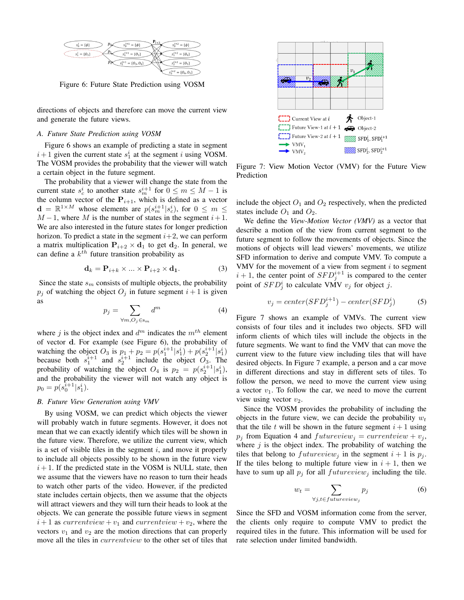

Figure 6: Future State Prediction using VOSM

directions of objects and therefore can move the current view and generate the future views.

# *A. Future State Prediction using VOSM*

Figure 6 shows an example of predicting a state in segment  $i+1$  given the current state  $s_1^i$  at the segment i using VOSM. The VOSM provides the probability that the viewer will watch a certain object in the future segment.

The probability that a viewer will change the state from the current state  $s_c^i$  to another state  $s_m^{i+1}$  for  $0 \le m \le M - 1$  is the column vector of the  $P_{i+1}$ , which is defined as a vector  $\mathbf{d} = \mathbb{R}^{1 \times M}$  whose elements are  $p(s_m^{i+1} | s_c^i)$ , for  $0 \le m \le$  $M-1$ , where M is the number of states in the segment  $i+1$ . We are also interested in the future states for longer prediction horizon. To predict a state in the segment  $i+2$ , we can perform a matrix multiplication  $P_{i+2} \times d_1$  to get  $d_2$ . In general, we can define a  $k^{th}$  future transition probability as

$$
\mathbf{d}_k = \mathbf{P}_{i+k} \times \dots \times \mathbf{P}_{i+2} \times \mathbf{d}_1. \tag{3}
$$

Since the state  $s_m$  consists of multiple objects, the probability  $p_j$  of watching the object  $O_j$  in future segment  $i+1$  is given as

$$
p_j = \sum_{\forall m, O_j \in \mathbf{s}_m} d^m \tag{4}
$$

where j is the object index and  $d^m$  indicates the  $m^{th}$  element of vector d. For example (see Figure 6), the probability of watching the object  $O_3$  is  $p_1 + p_2 = p(s_1^{i+1} | s_1^i) + p(s_2^{i+1} | s_1^i)$ because both  $s_1^{i+1}$  and  $s_2^{i+1}$  include the object  $O_3$ . The probability of watching the object  $O_4$  is  $p_2 = p(s_2^{i+1} | s_1^i)$ , and the probability the viewer will not watch any object is  $p_0 = p(s_0^{\bar{i}+1}|s_1^i).$ 

## *B. Future View Generation using VMV*

By using VOSM, we can predict which objects the viewer will probably watch in future segments. However, it does not mean that we can exactly identify which tiles will be shown in the future view. Therefore, we utilize the current view, which is a set of visible tiles in the segment  $i$ , and move it properly to include all objects possibly to be shown in the future view  $i + 1$ . If the predicted state in the VOSM is NULL state, then we assume that the viewers have no reason to turn their heads to watch other parts of the video. However, if the predicted state includes certain objects, then we assume that the objects will attract viewers and they will turn their heads to look at the objects. We can generate the possible future views in segment  $i+1$  as *currentview* +  $v_1$  and *currentview* +  $v_2$ , where the vectors  $v_1$  and  $v_2$  are the motion directions that can properly move all the tiles in *currentwiew* to the other set of tiles that



Figure 7: View Motion Vector (VMV) for the Future View Prediction

include the object  $O_1$  and  $O_2$  respectively, when the predicted states include  $O_1$  and  $O_2$ .

We define the *View-Motion Vector (VMV)* as a vector that describe a motion of the view from current segment to the future segment to follow the movements of objects. Since the motions of objects will lead viewers' movements, we utilize SFD information to derive and compute VMV. To compute a VMV for the movement of a view from segment  $i$  to segment  $i + 1$ , the center point of  $SFD_j^{i+1}$  is compared to the center point of  $SFD_j^i$  to calculate VMV  $v_j$  for object j.

$$
v_j = center(SFD_j^{i+1}) - center(SFD_j^i)
$$
 (5)

Figure 7 shows an example of VMVs. The current view consists of four tiles and it includes two objects. SFD will inform clients of which tiles will include the objects in the future segments. We want to find the VMV that can move the current view to the future view including tiles that will have desired objects. In Figure 7 example, a person and a car move in different directions and stay in different sets of tiles. To follow the person, we need to move the current view using a vector  $v_1$ . To follow the car, we need to move the current view using vector  $v_2$ .

Since the VOSM provides the probability of including the objects in the future view, we can decide the probability  $w_t$ that the tile t will be shown in the future segment  $i + 1$  using  $p_j$  from Equation 4 and  $futureview_j = currentview + v_j$ , where  $j$  is the object index. The probability of watching the tiles that belong to  $futureview_j$  in the segment  $i + 1$  is  $p_j$ . If the tiles belong to multiple future view in  $i + 1$ , then we have to sum up all  $p_i$  for all  $futureview_i$  including the tile.

$$
w_t = \sum_{\forall j, t \in future view_j} p_j \tag{6}
$$

Since the SFD and VOSM information come from the server, the clients only require to compute VMV to predict the required tiles in the future. This information will be used for rate selection under limited bandwidth.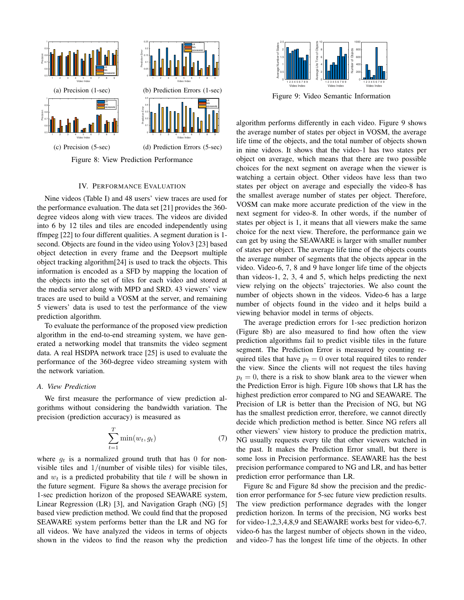

Figure 8: View Prediction Performance

## IV. PERFORMANCE EVALUATION

Nine videos (Table I) and 48 users' view traces are used for the performance evaluation. The data set [21] provides the 360 degree videos along with view traces. The videos are divided into 6 by 12 tiles and tiles are encoded independently using ffmpeg [22] to four different qualities. A segment duration is 1 second. Objects are found in the video using Yolov3 [23] based object detection in every frame and the Deepsort multiple object tracking algorithm[24] is used to track the objects. This information is encoded as a SFD by mapping the location of the objects into the set of tiles for each video and stored at the media server along with MPD and SRD. 43 viewers' view traces are used to build a VOSM at the server, and remaining 5 viewers' data is used to test the performance of the view prediction algorithm.

To evaluate the performance of the proposed view prediction algorithm in the end-to-end streaming system, we have generated a networking model that transmits the video segment data. A real HSDPA network trace [25] is used to evaluate the performance of the 360-degree video streaming system with the network variation.

## *A. View Prediction*

We first measure the performance of view prediction algorithms without considering the bandwidth variation. The precision (prediction accuracy) is measured as

$$
\sum_{t=1}^{T} \min(w_t, g_t) \tag{7}
$$

where  $g_t$  is a normalized ground truth that has 0 for nonvisible tiles and  $1/(number of visible tiles)$  for visible tiles, and  $w_t$  is a predicted probability that tile t will be shown in the future segment. Figure 8a shows the average precision for 1-sec prediction horizon of the proposed SEAWARE system, Linear Regression (LR) [3], and Navigation Graph (NG) [5] based view prediction method. We could find that the proposed SEAWARE system performs better than the LR and NG for all videos. We have analyzed the videos in terms of objects shown in the videos to find the reason why the prediction



Figure 9: Video Semantic Information

algorithm performs differently in each video. Figure 9 shows the average number of states per object in VOSM, the average life time of the objects, and the total number of objects shown in nine videos. It shows that the video-1 has two states per object on average, which means that there are two possible choices for the next segment on average when the viewer is watching a certain object. Other videos have less than two states per object on average and especially the video-8 has the smallest average number of states per object. Therefore, VOSM can make more accurate prediction of the view in the next segment for video-8. In other words, if the number of states per object is 1, it means that all viewers make the same choice for the next view. Therefore, the performance gain we can get by using the SEAWARE is larger with smaller number of states per object. The average life time of the objects counts the average number of segments that the objects appear in the video. Video-6, 7, 8 and 9 have longer life time of the objects than videos-1, 2, 3, 4 and 5, which helps predicting the next view relying on the objects' trajectories. We also count the number of objects shown in the videos. Video-6 has a large number of objects found in the video and it helps build a viewing behavior model in terms of objects.

The average prediction errors for 1-sec prediction horizon (Figure 8b) are also measured to find how often the view prediction algorithms fail to predict visible tiles in the future segment. The Prediction Error is measured by counting required tiles that have  $p_t = 0$  over total required tiles to render the view. Since the clients will not request the tiles having  $p_t = 0$ , there is a risk to show blank area to the viewer when the Prediction Error is high. Figure 10b shows that LR has the highest prediction error compared to NG and SEAWARE. The Precision of LR is better than the Precision of NG, but NG has the smallest prediction error, therefore, we cannot directly decide which prediction method is better. Since NG refers all other viewers' view history to produce the prediction matrix, NG usually requests every tile that other viewers watched in the past. It makes the Prediction Error small, but there is some loss in Precision performance. SEAWARE has the best precision performance compared to NG and LR, and has better prediction error performance than LR.

Figure 8c and Figure 8d show the precision and the prediction error performance for 5-sec future view prediction results. The view prediction performance degrades with the longer prediction horizon. In terms of the precision, NG works best for video-1,2,3,4,8,9 and SEAWARE works best for video-6,7. video-6 has the largest number of objects shown in the video, and video-7 has the longest life time of the objects. In other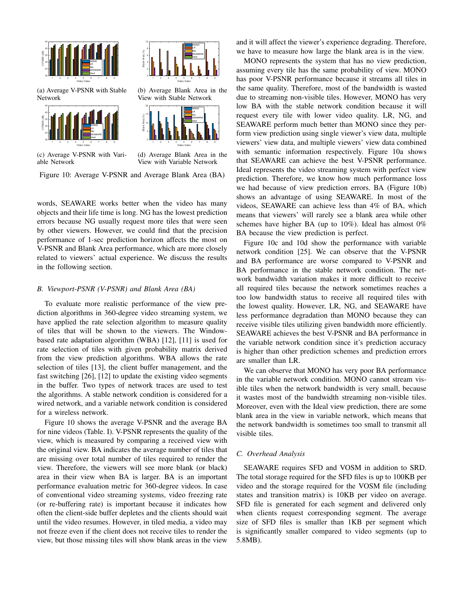

(a) Average V-PSNR with Stable Network





(b) Average Blank Area in the View with Stable Network



(c) Average V-PSNR with Variable Network

(d) Average Blank Area in the View with Variable Network

Figure 10: Average V-PSNR and Average Blank Area (BA)

words, SEAWARE works better when the video has many objects and their life time is long. NG has the lowest prediction errors because NG usually request more tiles that were seen by other viewers. However, we could find that the precision performance of 1-sec prediction horizon affects the most on V-PSNR and Blank Area performance, which are more closely related to viewers' actual experience. We discuss the results in the following section.

#### *B. Viewport-PSNR (V-PSNR) and Blank Area (BA)*

To evaluate more realistic performance of the view prediction algorithms in 360-degree video streaming system, we have applied the rate selection algorithm to measure quality of tiles that will be shown to the viewers. The Windowbased rate adaptation algorithm (WBA) [12], [11] is used for rate selection of tiles with given probability matrix derived from the view prediction algorithms. WBA allows the rate selection of tiles [13], the client buffer management, and the fast switching [26], [12] to update the existing video segments in the buffer. Two types of network traces are used to test the algorithms. A stable network condition is considered for a wired network, and a variable network condition is considered for a wireless network.

Figure 10 shows the average V-PSNR and the average BA for nine videos (Table. I). V-PSNR represents the quality of the view, which is measured by comparing a received view with the original view. BA indicates the average number of tiles that are missing over total number of tiles required to render the view. Therefore, the viewers will see more blank (or black) area in their view when BA is larger. BA is an important performance evaluation metric for 360-degree videos. In case of conventional video streaming systems, video freezing rate (or re-buffering rate) is important because it indicates how often the client-side buffer depletes and the clients should wait until the video resumes. However, in tiled media, a video may not freeze even if the client does not receive tiles to render the view, but those missing tiles will show blank areas in the view and it will affect the viewer's experience degrading. Therefore, we have to measure how large the blank area is in the view.

MONO represents the system that has no view prediction, assuming every tile has the same probability of view. MONO has poor V-PSNR performance because it streams all tiles in the same quality. Therefore, most of the bandwidth is wasted due to streaming non-visible tiles. However, MONO has very low BA with the stable network condition because it will request every tile with lower video quality. LR, NG, and SEAWARE perform much better than MONO since they perform view prediction using single viewer's view data, multiple viewers' view data, and multiple viewers' view data combined with semantic information respectively. Figure 10a shows that SEAWARE can achieve the best V-PSNR performance. Ideal represents the video streaming system with perfect view prediction. Therefore, we know how much performance loss we had because of view prediction errors. BA (Figure 10b) shows an advantage of using SEAWARE. In most of the videos, SEAWARE can achieve less than 4% of BA, which means that viewers' will rarely see a blank area while other schemes have higher BA (up to 10%). Ideal has almost 0% BA because the view prediction is perfect.

Figure 10c and 10d show the performance with variable network condition [25]. We can observe that the V-PSNR and BA performance are worse compared to V-PSNR and BA performance in the stable network condition. The network bandwidth variation makes it more difficult to receive all required tiles because the network sometimes reaches a too low bandwidth status to receive all required tiles with the lowest quality. However, LR, NG, and SEAWARE have less performance degradation than MONO because they can receive visible tiles utilizing given bandwidth more efficiently. SEAWARE achieves the best V-PSNR and BA performance in the variable network condition since it's prediction accuracy is higher than other prediction schemes and prediction errors are smaller than LR.

We can observe that MONO has very poor BA performance in the variable network condition. MONO cannot stream visible tiles when the network bandwidth is very small, because it wastes most of the bandwidth streaming non-visible tiles. Moreover, even with the Ideal view prediction, there are some blank area in the view in variable network, which means that the network bandwidth is sometimes too small to transmit all visible tiles.

#### *C. Overhead Analysis*

SEAWARE requires SFD and VOSM in addition to SRD. The total storage required for the SFD files is up to 100KB per video and the storage required for the VOSM file (including states and transition matrix) is 10KB per video on average. SFD file is generated for each segment and delivered only when clients request corresponding segment. The average size of SFD files is smaller than 1KB per segment which is significantly smaller compared to video segments (up to 5.8MB).